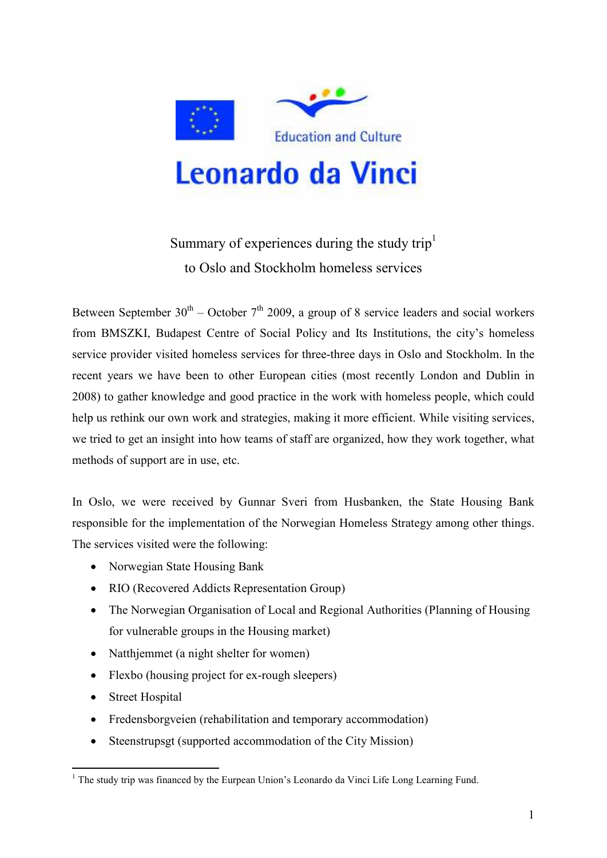

## Summary of experiences during the study trip<sup>1</sup> to Oslo and Stockholm homeless services

Between September  $30<sup>th</sup>$  – October  $7<sup>th</sup>$  2009, a group of 8 service leaders and social workers from BMSZKI, Budapest Centre of Social Policy and Its Institutions, the city's homeless service provider visited homeless services for three-three days in Oslo and Stockholm. In the recent years we have been to other European cities (most recently London and Dublin in 2008) to gather knowledge and good practice in the work with homeless people, which could help us rethink our own work and strategies, making it more efficient. While visiting services, we tried to get an insight into how teams of staff are organized, how they work together, what methods of support are in use, etc.

In Oslo, we were received by Gunnar Sveri from Husbanken, the State Housing Bank responsible for the implementation of the Norwegian Homeless Strategy among other things. The services visited were the following:

- Norwegian State Housing Bank
- RIO (Recovered Addicts Representation Group)
- The Norwegian Organisation of Local and Regional Authorities (Planning of Housing for vulnerable groups in the Housing market)
- Natthjemmet (a night shelter for women)
- Flexbo (housing project for ex-rough sleepers)
- Street Hospital
- Fredensborgveien (rehabilitation and temporary accommodation)
- Steenstrupsgt (supported accommodation of the City Mission)

<sup>&</sup>lt;sup>1</sup> The study trip was financed by the Eurpean Union's Leonardo da Vinci Life Long Learning Fund.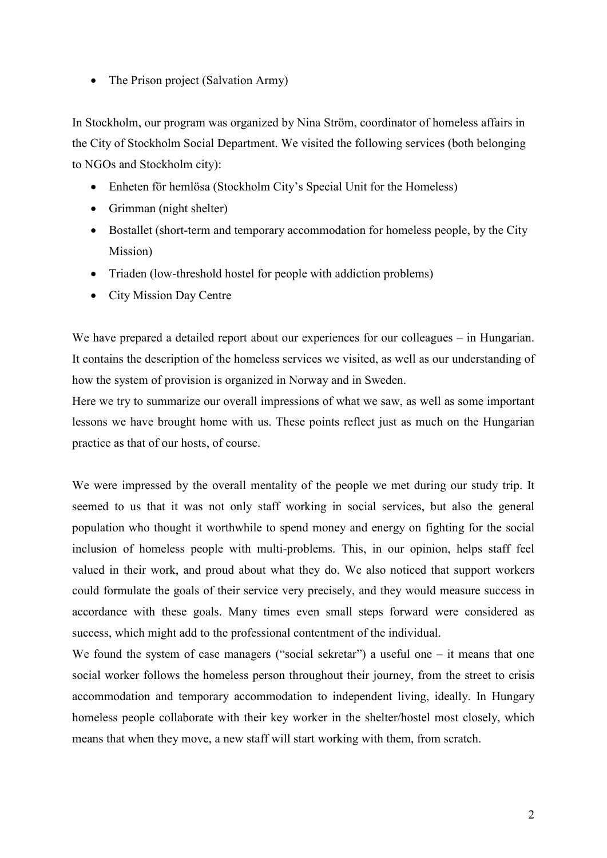• The Prison project (Salvation Army)

In Stockholm, our program was organized by Nina Ström, coordinator of homeless affairs in the City of Stockholm Social Department. We visited the following services (both belonging to NGOs and Stockholm city):

- Enheten för hemlösa (Stockholm City's Special Unit for the Homeless)
- Grimman (night shelter)
- Bostallet (short-term and temporary accommodation for homeless people, by the City Mission)
- Triaden (low-threshold hostel for people with addiction problems)
- City Mission Day Centre

We have prepared a detailed report about our experiences for our colleagues – in Hungarian. It contains the description of the homeless services we visited, as well as our understanding of how the system of provision is organized in Norway and in Sweden.

Here we try to summarize our overall impressions of what we saw, as well as some important lessons we have brought home with us. These points reflect just as much on the Hungarian practice as that of our hosts, of course.

We were impressed by the overall mentality of the people we met during our study trip. It seemed to us that it was not only staff working in social services, but also the general population who thought it worthwhile to spend money and energy on fighting for the social inclusion of homeless people with multi-problems. This, in our opinion, helps staff feel valued in their work, and proud about what they do. We also noticed that support workers could formulate the goals of their service very precisely, and they would measure success in accordance with these goals. Many times even small steps forward were considered as success, which might add to the professional contentment of the individual.

We found the system of case managers ("social sekretar") a useful one – it means that one social worker follows the homeless person throughout their journey, from the street to crisis accommodation and temporary accommodation to independent living, ideally. In Hungary homeless people collaborate with their key worker in the shelter/hostel most closely, which means that when they move, a new staff will start working with them, from scratch.